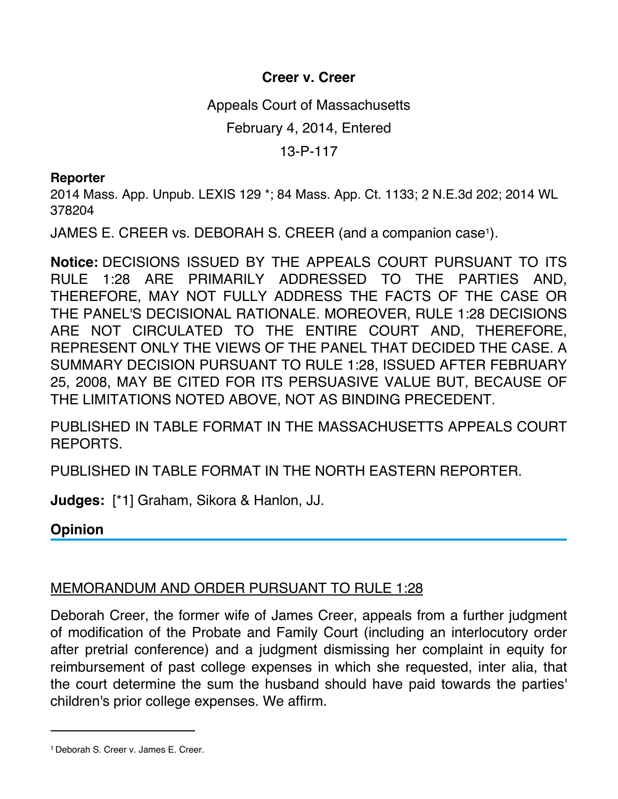## **Creer v. Creer**

Appeals Court of Massachusetts

February 4, 2014, Entered

13-P-117

## **Reporter**

2014 Mass. App. Unpub. LEXIS 129 \*; 84 Mass. App. Ct. 1133; 2 N.E.3d 202; 2014 WL 378204

JAMES E. CREER vs. DEBORAH S. CREER (and a companion case<sup>1</sup>).

**Notice:** DECISIONS ISSUED BY THE APPEALS COURT PURSUANT TO ITS RULE 1:28 ARE PRIMARILY ADDRESSED TO THE PARTIES AND, THEREFORE, MAY NOT FULLY ADDRESS THE FACTS OF THE CASE OR THE PANEL'S DECISIONAL RATIONALE. MOREOVER, RULE 1:28 DECISIONS ARE NOT CIRCULATED TO THE ENTIRE COURT AND, THEREFORE, REPRESENT ONLY THE VIEWS OF THE PANEL THAT DECIDED THE CASE. A SUMMARY DECISION PURSUANT TO RULE 1:28, ISSUED AFTER FEBRUARY 25, 2008, MAY BE CITED FOR ITS PERSUASIVE VALUE BUT, BECAUSE OF THE LIMITATIONS NOTED ABOVE, NOT AS BINDING PRECEDENT.

PUBLISHED IN TABLE FORMAT IN THE MASSACHUSETTS APPEALS COURT REPORTS.

PUBLISHED IN TABLE FORMAT IN THE NORTH EASTERN REPORTER.

**Judges:** [\*1] Graham, Sikora & Hanlon, JJ.

**Opinion**

## MEMORANDUM AND ORDER PURSUANT TO RULE 1:28

Deborah Creer, the former wife of James Creer, appeals from a further judgment of modification of the Probate and Family Court (including an interlocutory order after pretrial conference) and a judgment dismissing her complaint in equity for reimbursement of past college expenses in which she requested, inter alia, that the court determine the sum the husband should have paid towards the parties' children's prior college expenses. We affirm.

<sup>1</sup> Deborah S. Creer v. James E. Creer.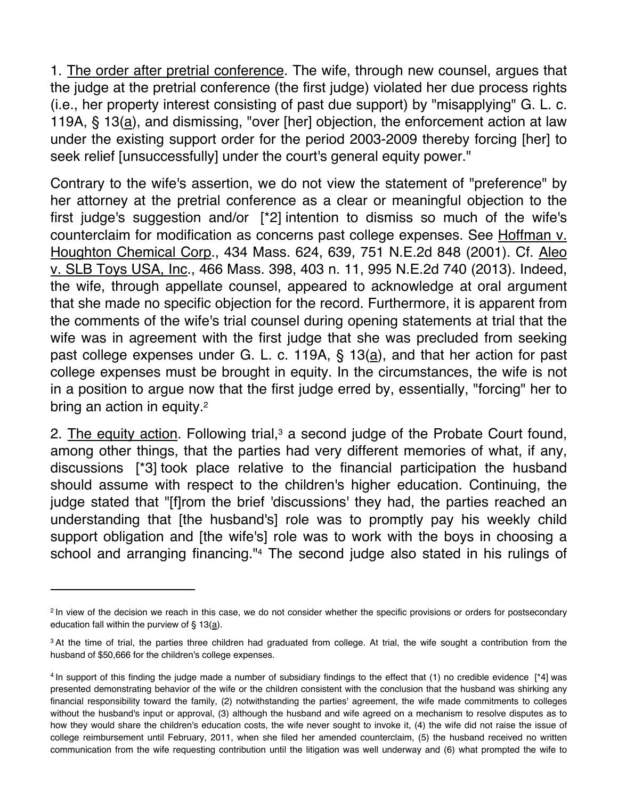1. The order after pretrial conference. The wife, through new counsel, argues that the judge at the pretrial conference (the first judge) violated her due process rights (i.e., her property interest consisting of past due support) by "misapplying" G. L. c. 119A, § 13(a), and dismissing, "over [her] objection, the enforcement action at law under the existing support order for the period 2003-2009 thereby forcing [her] to seek relief [unsuccessfully] under the court's general equity power."

Contrary to the wife's assertion, we do not view the statement of "preference" by her attorney at the pretrial conference as a clear or meaningful objection to the first judge's suggestion and/or [\*2] intention to dismiss so much of the wife's counterclaim for modification as concerns past college expenses. See Hoffman v. Houghton Chemical Corp., 434 Mass. 624, 639, 751 N.E.2d 848 (2001). Cf. Aleo v. SLB Toys USA, Inc., 466 Mass. 398, 403 n. 11, 995 N.E.2d 740 (2013). Indeed, the wife, through appellate counsel, appeared to acknowledge at oral argument that she made no specific objection for the record. Furthermore, it is apparent from the comments of the wife's trial counsel during opening statements at trial that the wife was in agreement with the first judge that she was precluded from seeking past college expenses under G. L. c. 119A,  $\S$  13( $\underline{a}$ ), and that her action for past college expenses must be brought in equity. In the circumstances, the wife is not in a position to argue now that the first judge erred by, essentially, "forcing" her to bring an action in equity.<sup>2</sup>

2. The equity action. Following trial, $3$  a second judge of the Probate Court found, among other things, that the parties had very different memories of what, if any, discussions [\*3] took place relative to the financial participation the husband should assume with respect to the children's higher education. Continuing, the judge stated that "[f]rom the brief 'discussions' they had, the parties reached an understanding that [the husband's] role was to promptly pay his weekly child support obligation and [the wife's] role was to work with the boys in choosing a school and arranging financing."<sup>4</sup> The second judge also stated in his rulings of

<sup>&</sup>lt;sup>2</sup> In view of the decision we reach in this case, we do not consider whether the specific provisions or orders for postsecondary education fall within the purview of § 13(a).

<sup>&</sup>lt;sup>3</sup> At the time of trial, the parties three children had graduated from college. At trial, the wife sought a contribution from the husband of \$50,666 for the children's college expenses.

<sup>4</sup> In support of this finding the judge made a number of subsidiary findings to the effect that (1) no credible evidence [\*4] was presented demonstrating behavior of the wife or the children consistent with the conclusion that the husband was shirking any financial responsibility toward the family, (2) notwithstanding the parties' agreement, the wife made commitments to colleges without the husband's input or approval, (3) although the husband and wife agreed on a mechanism to resolve disputes as to how they would share the children's education costs, the wife never sought to invoke it, (4) the wife did not raise the issue of college reimbursement until February, 2011, when she filed her amended counterclaim, (5) the husband received no written communication from the wife requesting contribution until the litigation was well underway and (6) what prompted the wife to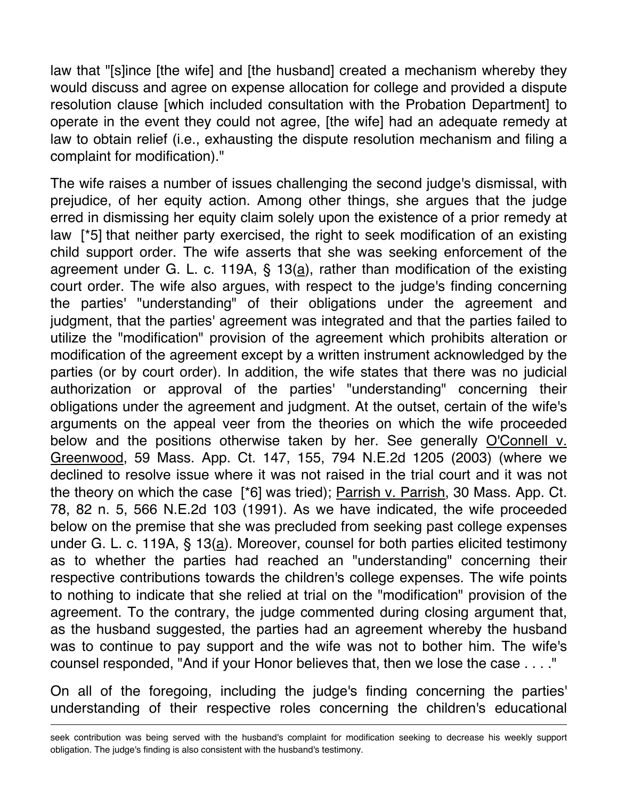law that "[s]ince [the wife] and [the husband] created a mechanism whereby they would discuss and agree on expense allocation for college and provided a dispute resolution clause [which included consultation with the Probation Department] to operate in the event they could not agree, [the wife] had an adequate remedy at law to obtain relief (i.e., exhausting the dispute resolution mechanism and filing a complaint for modification)."

The wife raises a number of issues challenging the second judge's dismissal, with prejudice, of her equity action. Among other things, she argues that the judge erred in dismissing her equity claim solely upon the existence of a prior remedy at law [\*5] that neither party exercised, the right to seek modification of an existing child support order. The wife asserts that she was seeking enforcement of the agreement under G. L. c. 119A, § 13(a), rather than modification of the existing court order. The wife also argues, with respect to the judge's finding concerning the parties' "understanding" of their obligations under the agreement and judgment, that the parties' agreement was integrated and that the parties failed to utilize the "modification" provision of the agreement which prohibits alteration or modification of the agreement except by a written instrument acknowledged by the parties (or by court order). In addition, the wife states that there was no judicial authorization or approval of the parties' "understanding" concerning their obligations under the agreement and judgment. At the outset, certain of the wife's arguments on the appeal veer from the theories on which the wife proceeded below and the positions otherwise taken by her. See generally O'Connell v. Greenwood, 59 Mass. App. Ct. 147, 155, 794 N.E.2d 1205 (2003) (where we declined to resolve issue where it was not raised in the trial court and it was not the theory on which the case [\*6] was tried); Parrish v. Parrish, 30 Mass. App. Ct. 78, 82 n. 5, 566 N.E.2d 103 (1991). As we have indicated, the wife proceeded below on the premise that she was precluded from seeking past college expenses under G. L. c. 119A, § 13(a). Moreover, counsel for both parties elicited testimony as to whether the parties had reached an "understanding" concerning their respective contributions towards the children's college expenses. The wife points to nothing to indicate that she relied at trial on the "modification" provision of the agreement. To the contrary, the judge commented during closing argument that, as the husband suggested, the parties had an agreement whereby the husband was to continue to pay support and the wife was not to bother him. The wife's counsel responded, "And if your Honor believes that, then we lose the case . . . ."

On all of the foregoing, including the judge's finding concerning the parties' understanding of their respective roles concerning the children's educational

seek contribution was being served with the husband's complaint for modification seeking to decrease his weekly support obligation. The judge's finding is also consistent with the husband's testimony.